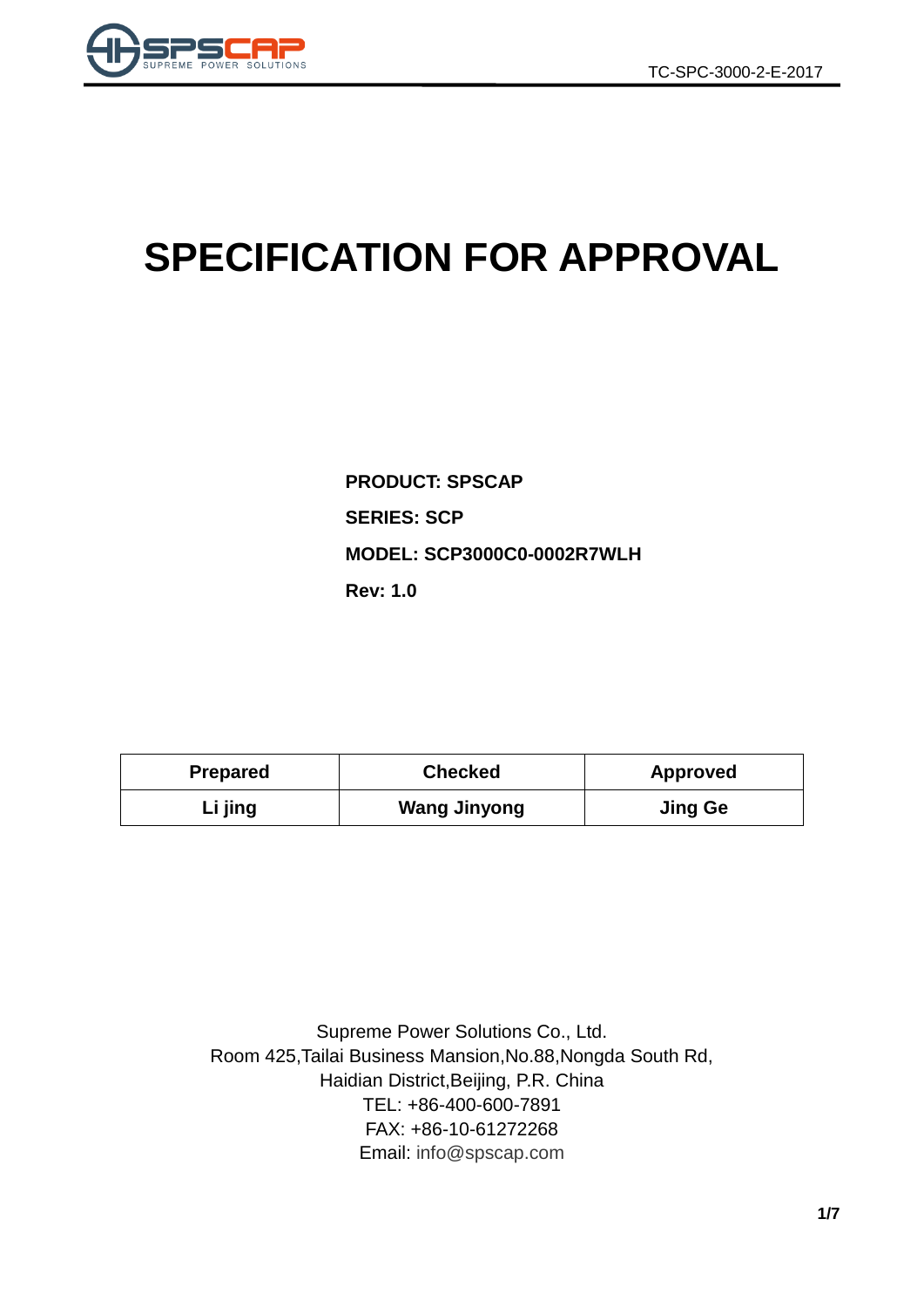

# **SPECIFICATION FOR APPROVAL**

**PRODUCT: SPSCAP SERIES: SCP MODEL: SCP3000C0-0002R7WLH Rev: 1.0**

| <b>Prepared</b> | <b>Checked</b>      | <b>Approved</b> |  |
|-----------------|---------------------|-----------------|--|
| Li jing         | <b>Wang Jinyong</b> | <b>Jing Ge</b>  |  |

Supreme Power Solutions Co., Ltd. Room 425,Tailai Business Mansion,No.88,Nongda South Rd, Haidian District,Beijing, P.R. China TEL: +86-400-600-7891 FAX: +86-10-61272268 Email: [info@spscap.com](mailto:info@spscap.com)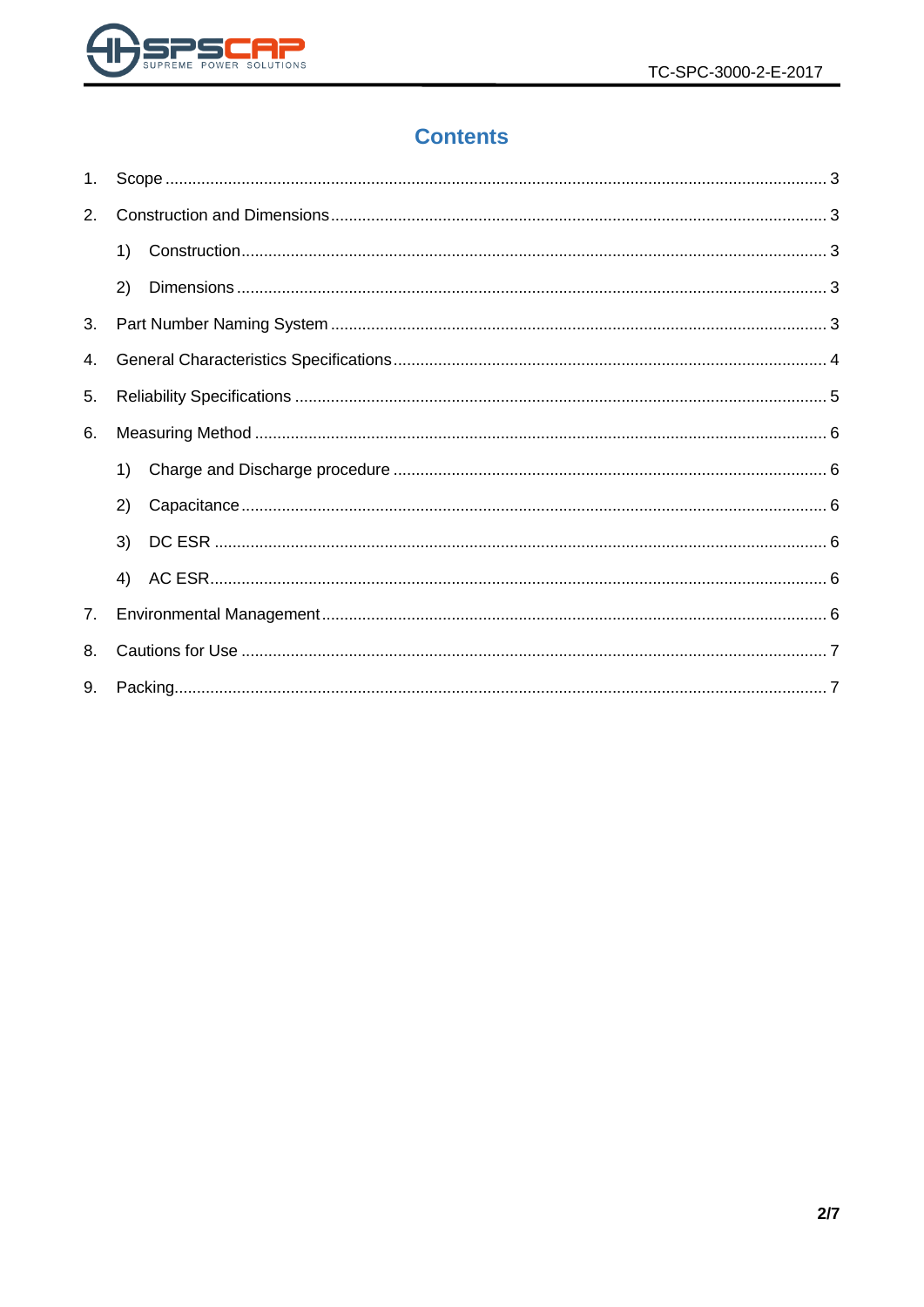

# **Contents**

| $1_{\cdot}$ |    |  |
|-------------|----|--|
| 2.          |    |  |
|             | 1) |  |
|             | 2) |  |
| 3.          |    |  |
| 4.          |    |  |
| 5.          |    |  |
| 6.          |    |  |
|             | 1) |  |
|             | 2) |  |
|             | 3) |  |
|             | 4) |  |
| 7.          |    |  |
| 8.          |    |  |
| 9.          |    |  |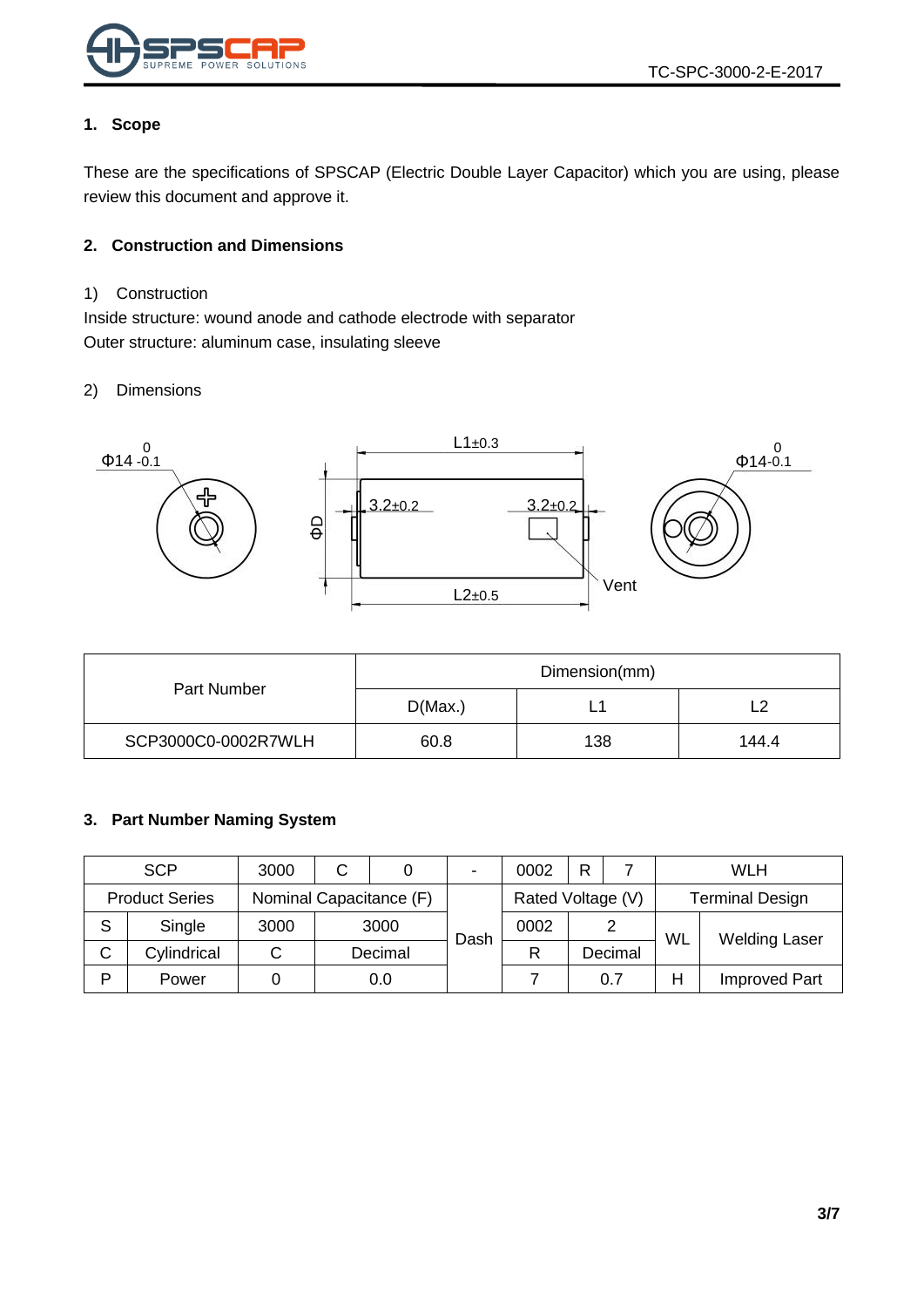

#### <span id="page-2-0"></span>**1. Scope**

These are the specifications of SPSCAP (Electric Double Layer Capacitor) which you are using, please review this document and approve it.

#### <span id="page-2-1"></span>**2. Construction and Dimensions**

#### <span id="page-2-2"></span>1) Construction

Inside structure: wound anode and cathode electrode with separator Outer structure: aluminum case, insulating sleeve

#### <span id="page-2-3"></span>2) Dimensions



|                     | Dimension(mm) |     |       |  |  |
|---------------------|---------------|-----|-------|--|--|
| Part Number         | D(Max.)       |     |       |  |  |
| SCP3000C0-0002R7WLH | 60.8          | 138 | 144.4 |  |  |

#### <span id="page-2-4"></span>**3. Part Number Naming System**

|   | <b>SCP</b>            | 3000                    | С |         | $\blacksquare$    | 0002 | R                      |         |    | WLH                  |
|---|-----------------------|-------------------------|---|---------|-------------------|------|------------------------|---------|----|----------------------|
|   | <b>Product Series</b> | Nominal Capacitance (F) |   |         | Rated Voltage (V) |      | <b>Terminal Design</b> |         |    |                      |
| S | Single                | 3000                    |   | 3000    | Dash              | 0002 |                        |         | WL | <b>Welding Laser</b> |
| C | Cylindrical           | ັ                       |   | Decimal |                   | R    |                        | Decimal |    |                      |
| D | Power                 |                         |   | 0.0     |                   |      |                        | 0.7     | Н  | <b>Improved Part</b> |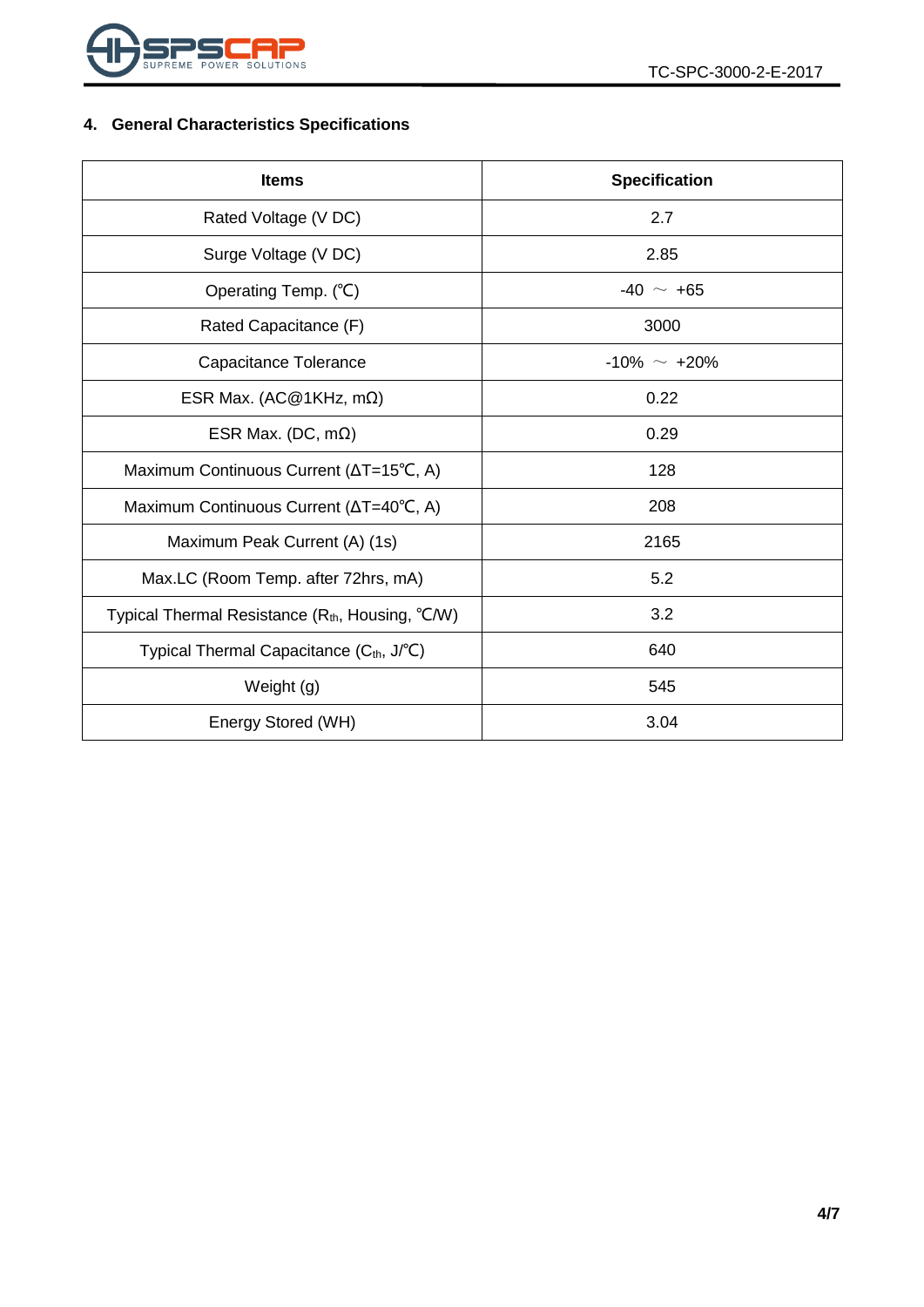

## <span id="page-3-0"></span>**4. General Characteristics Specifications**

| <b>Items</b>                                            | <b>Specification</b> |  |  |  |
|---------------------------------------------------------|----------------------|--|--|--|
| Rated Voltage (V DC)                                    | 2.7                  |  |  |  |
| Surge Voltage (V DC)                                    | 2.85                 |  |  |  |
| Operating Temp. (°C)                                    | $-40 \sim +65$       |  |  |  |
| Rated Capacitance (F)                                   | 3000                 |  |  |  |
| Capacitance Tolerance                                   | $-10\% \sim +20\%$   |  |  |  |
| ESR Max. (AC@1KHz, m $\Omega$ )                         | 0.22                 |  |  |  |
| ESR Max. (DC, $m\Omega$ )                               | 0.29                 |  |  |  |
| Maximum Continuous Current (∆T=15°C, A)                 | 128                  |  |  |  |
| Maximum Continuous Current (ΔT=40°C, A)                 | 208                  |  |  |  |
| Maximum Peak Current (A) (1s)                           | 2165                 |  |  |  |
| Max.LC (Room Temp. after 72hrs, mA)                     | 5.2                  |  |  |  |
| Typical Thermal Resistance $(R_{th}$ , Housing, $°C/W)$ | 3.2                  |  |  |  |
| Typical Thermal Capacitance (C <sub>th</sub> , J/°C)    | 640                  |  |  |  |
| Weight (g)                                              | 545                  |  |  |  |
| Energy Stored (WH)                                      | 3.04                 |  |  |  |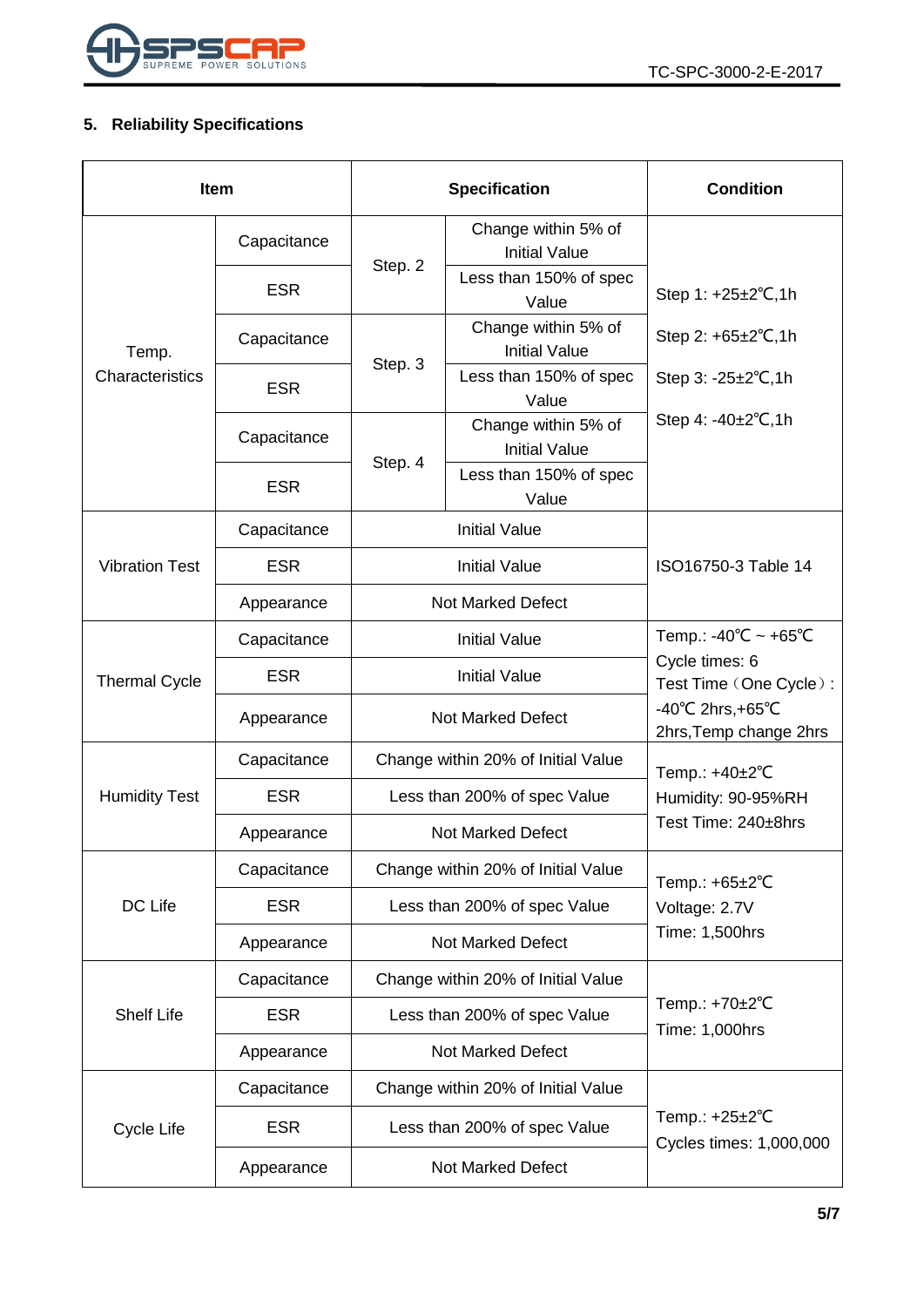

## <span id="page-4-0"></span>**5. Reliability Specifications**

| <b>Item</b>           |             |                                    | <b>Specification</b>                        | <b>Condition</b>                                                 |  |
|-----------------------|-------------|------------------------------------|---------------------------------------------|------------------------------------------------------------------|--|
|                       | Capacitance |                                    | Change within 5% of<br><b>Initial Value</b> |                                                                  |  |
|                       | <b>ESR</b>  | Step. 2                            | Less than 150% of spec<br>Value             | Step 1: +25±2°C,1h                                               |  |
| Temp.                 | Capacitance | Step. 3                            | Change within 5% of<br><b>Initial Value</b> | Step 2: $+65\pm2\degree$ C, 1h                                   |  |
| Characteristics       | <b>ESR</b>  |                                    | Less than 150% of spec<br>Value             | Step $3: -25 \pm 2^{\circ}C, 1h$                                 |  |
|                       | Capacitance | Step. 4                            | Change within 5% of<br><b>Initial Value</b> | Step 4: $-40\pm2^{\circ}C$ , 1h                                  |  |
|                       | <b>ESR</b>  |                                    | Less than 150% of spec<br>Value             |                                                                  |  |
|                       | Capacitance |                                    | <b>Initial Value</b>                        |                                                                  |  |
| <b>Vibration Test</b> | <b>ESR</b>  |                                    | <b>Initial Value</b>                        | ISO16750-3 Table 14                                              |  |
|                       | Appearance  | <b>Not Marked Defect</b>           |                                             |                                                                  |  |
| <b>Thermal Cycle</b>  | Capacitance | <b>Initial Value</b>               |                                             | Temp.: -40°C ~ +65°C<br>Cycle times: 6<br>Test Time (One Cycle): |  |
|                       | <b>ESR</b>  | <b>Initial Value</b>               |                                             |                                                                  |  |
|                       | Appearance  |                                    | Not Marked Defect                           | $-40^{\circ}$ C 2hrs, +65 $^{\circ}$ C<br>2hrs, Temp change 2hrs |  |
|                       | Capacitance | Change within 20% of Initial Value |                                             | Temp.: +40±2°C                                                   |  |
| <b>Humidity Test</b>  | <b>ESR</b>  | Less than 200% of spec Value       |                                             | Humidity: 90-95%RH<br>Test Time: 240±8hrs                        |  |
|                       | Appearance  | <b>Not Marked Defect</b>           |                                             |                                                                  |  |
|                       | Capacitance |                                    | Change within 20% of Initial Value          | Temp.: +65±2°C                                                   |  |
| DC Life               | <b>ESR</b>  | Less than 200% of spec Value       |                                             | Voltage: 2.7V                                                    |  |
|                       | Appearance  | <b>Not Marked Defect</b>           |                                             | Time: 1,500hrs                                                   |  |
|                       | Capacitance | Change within 20% of Initial Value |                                             | Temp.: +70±2°C<br>Time: 1,000hrs                                 |  |
| <b>Shelf Life</b>     | <b>ESR</b>  | Less than 200% of spec Value       |                                             |                                                                  |  |
|                       | Appearance  | <b>Not Marked Defect</b>           |                                             |                                                                  |  |
|                       | Capacitance | Change within 20% of Initial Value |                                             |                                                                  |  |
| Cycle Life            | <b>ESR</b>  |                                    | Less than 200% of spec Value                | Temp.: $+25\pm2$ °C<br>Cycles times: 1,000,000                   |  |
|                       | Appearance  | Not Marked Defect                  |                                             |                                                                  |  |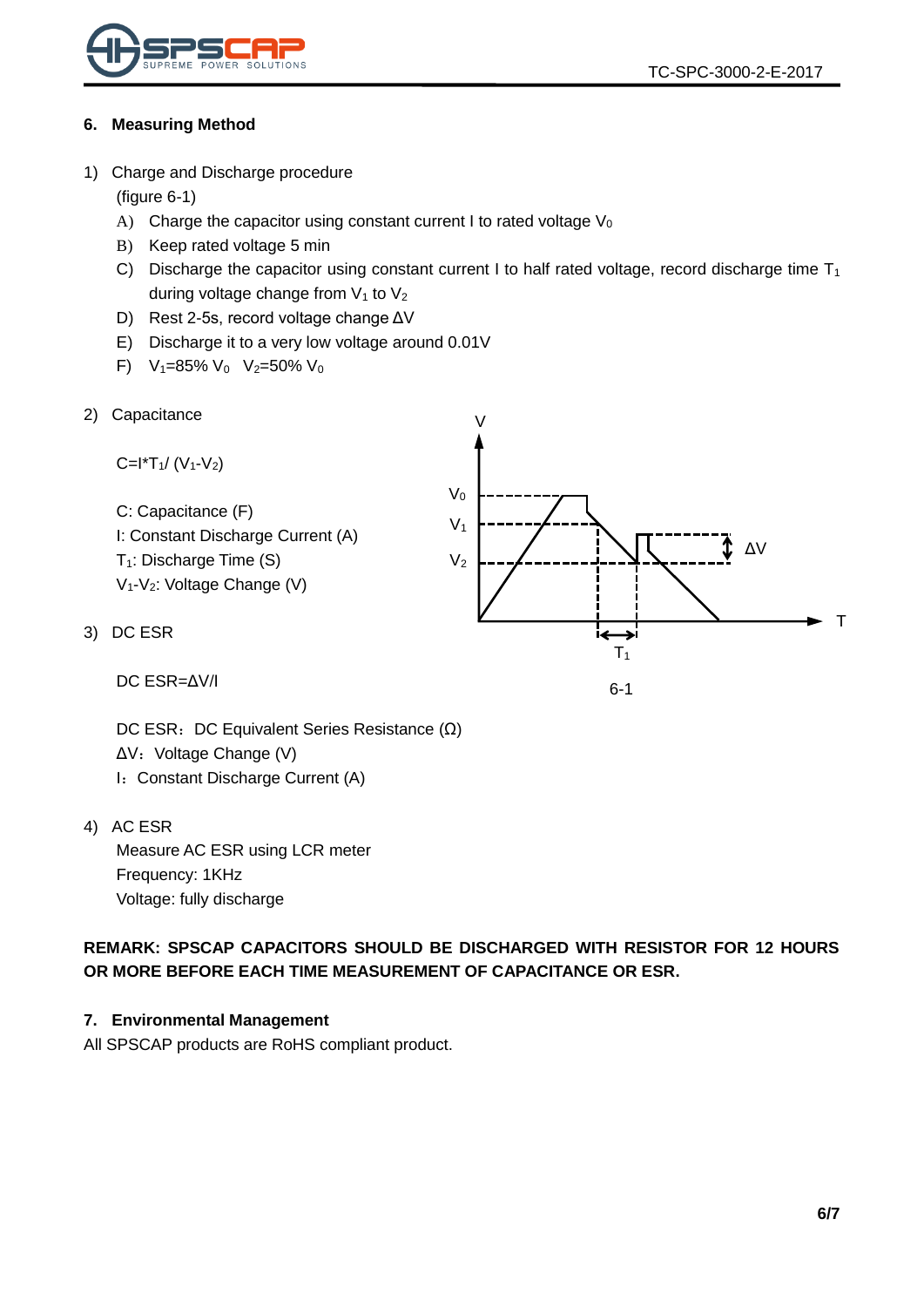

#### <span id="page-5-0"></span>**6. Measuring Method**

<span id="page-5-1"></span>1) Charge and Discharge procedure

(figure 6-1)

- A) Charge the capacitor using constant current I to rated voltage  $V_0$
- B) Keep rated voltage 5 min
- C) Discharge the capacitor using constant current I to half rated voltage, record discharge time  $T_1$ during voltage change from  $V_1$  to  $V_2$
- D) Rest 2-5s, record voltage change ΔV
- E) Discharge it to a very low voltage around 0.01V
- F)  $V_1=85\% V_0 V_2=50\% V_0$
- 2) Capacitance

<span id="page-5-2"></span>

| Capacitance                                         | \n $V_0$ \n |
|-----------------------------------------------------|-------------|
| C: Capacitance (F)                                  | \n $V_1$ \n |
| I: Constant Discharge Current (A)                   | \n $V_2$ \n |
| T <sub>1</sub> : Discharge Time (S)                 | \n $V_2$ \n |
| U <sub>1</sub> -V <sub>2</sub> : Voltage Change (V) |             |
| DC ESR                                              | \n $V_1$ \n |

6-1

DC ESR=ΔV/I

DC ESR: DC Equivalent Series Resistance (Ω) ΔV: Voltage Change (V) I: Constant Discharge Current (A)

<span id="page-5-4"></span>4) AC ESR

<span id="page-5-3"></span> $3)$ 

Measure AC ESR using LCR meter Frequency: 1KHz Voltage: fully discharge

**REMARK: SPSCAP CAPACITORS SHOULD BE DISCHARGED WITH RESISTOR FOR 12 HOURS OR MORE BEFORE EACH TIME MEASUREMENT OF CAPACITANCE OR ESR.**

#### <span id="page-5-5"></span>**7. Environmental Management**

All SPSCAP products are RoHS compliant product.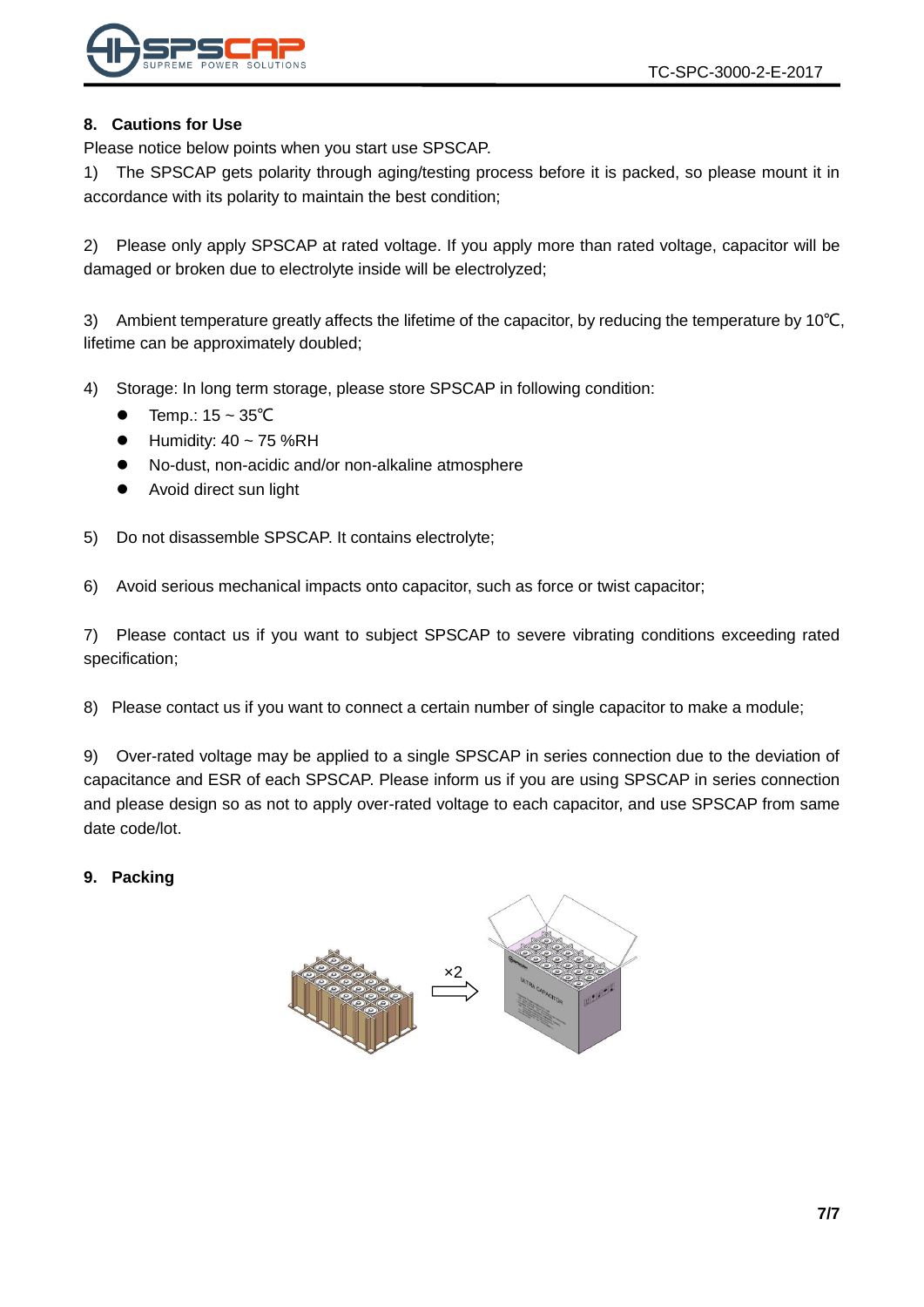

#### <span id="page-6-0"></span>**8. Cautions for Use**

Please notice below points when you start use SPSCAP.

1) The SPSCAP gets polarity through aging/testing process before it is packed, so please mount it in accordance with its polarity to maintain the best condition;

2) Please only apply SPSCAP at rated voltage. If you apply more than rated voltage, capacitor will be damaged or broken due to electrolyte inside will be electrolyzed;

3) Ambient temperature greatly affects the lifetime of the capacitor, by reducing the temperature by 10℃, lifetime can be approximately doubled;

- 4) Storage: In long term storage, please store SPSCAP in following condition:
	- Temp.: 15 ~ 35℃
	- Humidity: 40 ~ 75 %RH
	- No-dust, non-acidic and/or non-alkaline atmosphere
	- Avoid direct sun light

5) Do not disassemble SPSCAP. It contains electrolyte;

6) Avoid serious mechanical impacts onto capacitor, such as force or twist capacitor;

7) Please contact us if you want to subject SPSCAP to severe vibrating conditions exceeding rated specification;

8) Please contact us if you want to connect a certain number of single capacitor to make a module;

9) Over-rated voltage may be applied to a single SPSCAP in series connection due to the deviation of capacitance and ESR of each SPSCAP. Please inform us if you are using SPSCAP in series connection and please design so as not to apply over-rated voltage to each capacitor, and use SPSCAP from same date code/lot.

<span id="page-6-1"></span>**9. Packing**